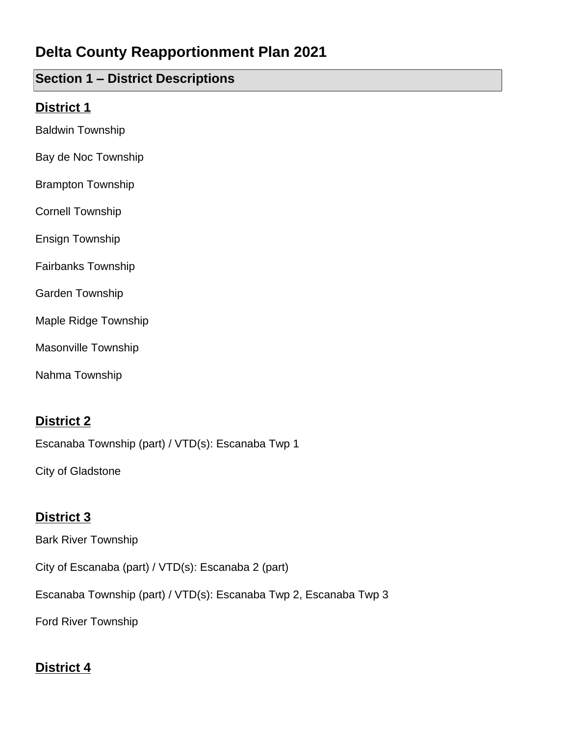#### **Section 1 – District Descriptions**

#### **District 1**

Baldwin Township

Bay de Noc Township

- Brampton Township
- Cornell Township
- Ensign Township
- Fairbanks Township
- Garden Township
- Maple Ridge Township
- Masonville Township
- Nahma Township

#### **District 2**

Escanaba Township (part) / VTD(s): Escanaba Twp 1

City of Gladstone

#### **District 3**

Bark River Township

City of Escanaba (part) / VTD(s): Escanaba 2 (part)

Escanaba Township (part) / VTD(s): Escanaba Twp 2, Escanaba Twp 3

Ford River Township

#### **District 4**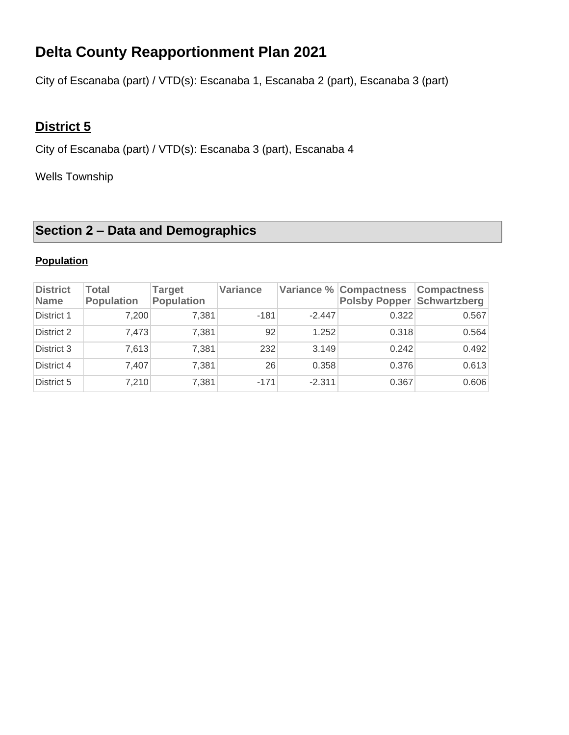City of Escanaba (part) / VTD(s): Escanaba 1, Escanaba 2 (part), Escanaba 3 (part)

#### **District 5**

City of Escanaba (part) / VTD(s): Escanaba 3 (part), Escanaba 4

Wells Township

#### **Section 2 – Data and Demographics**

#### **Population**

| <b>District</b><br><b>Name</b> | Total<br><b>Population</b> | <b>Target</b><br><b>Population</b> | <b>Variance</b> |          | Variance % Compactness<br><b>Polsby Popper Schwartzberg</b> | <b>Compactness</b> |
|--------------------------------|----------------------------|------------------------------------|-----------------|----------|-------------------------------------------------------------|--------------------|
| District 1                     | 7.200                      | 7.381                              | $-181$          | $-2.447$ | 0.322                                                       | 0.567              |
| District 2                     | 7,473                      | 7,381                              | 92              | 1.252    | 0.318                                                       | 0.564              |
| District 3                     | 7,613                      | 7,381                              | 232             | 3.149    | 0.242                                                       | 0.492              |
| District 4                     | 7,407                      | 7,381                              | 26              | 0.358    | 0.376                                                       | 0.613              |
| District 5                     | 7,210                      | 7,381                              | $-171$          | $-2.311$ | 0.367                                                       | 0.606              |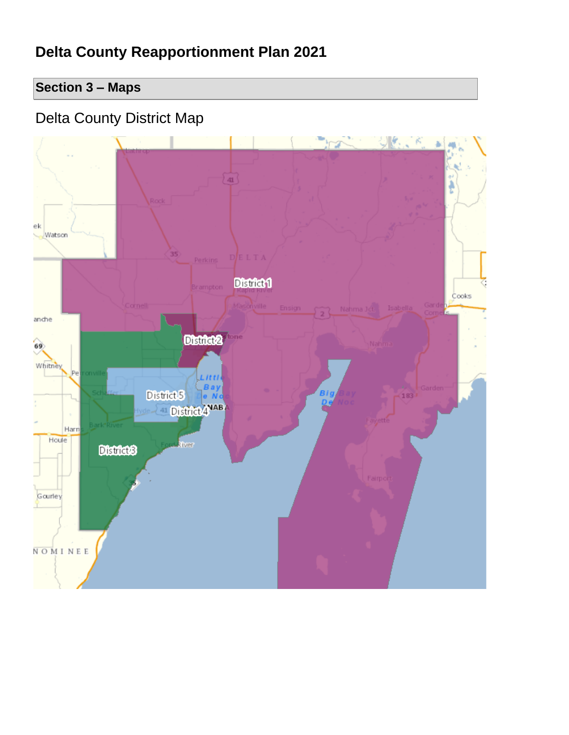#### **Section 3 – Maps**

### Delta County District Map

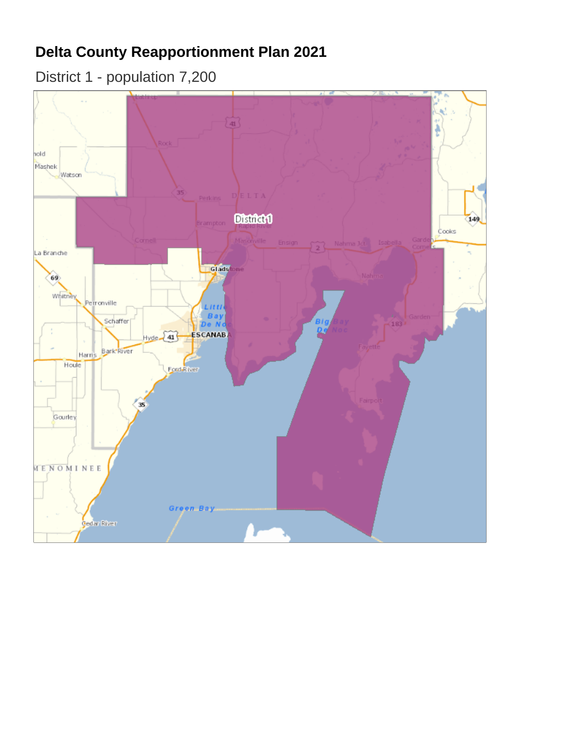District 1 - population 7,200

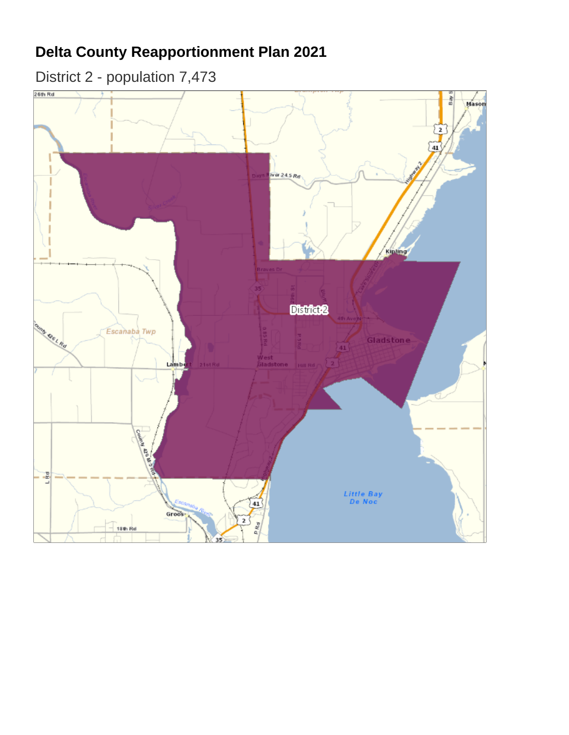District 2 - population 7,473

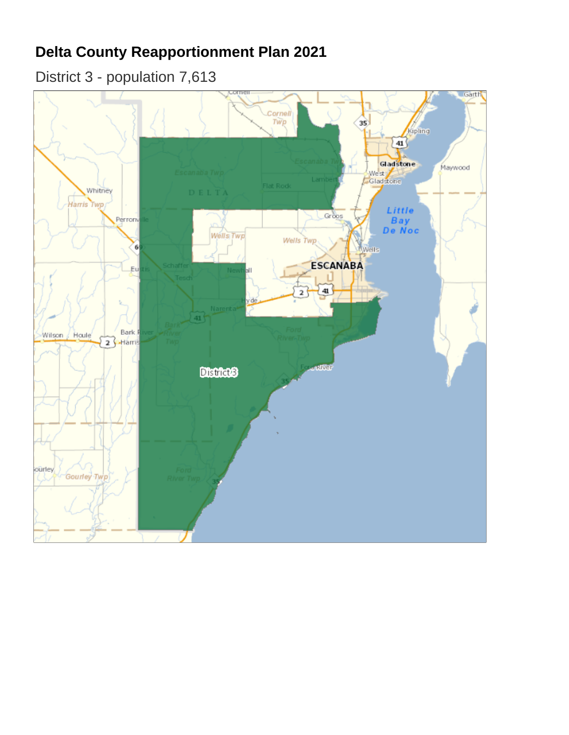## District 3 - population 7,613

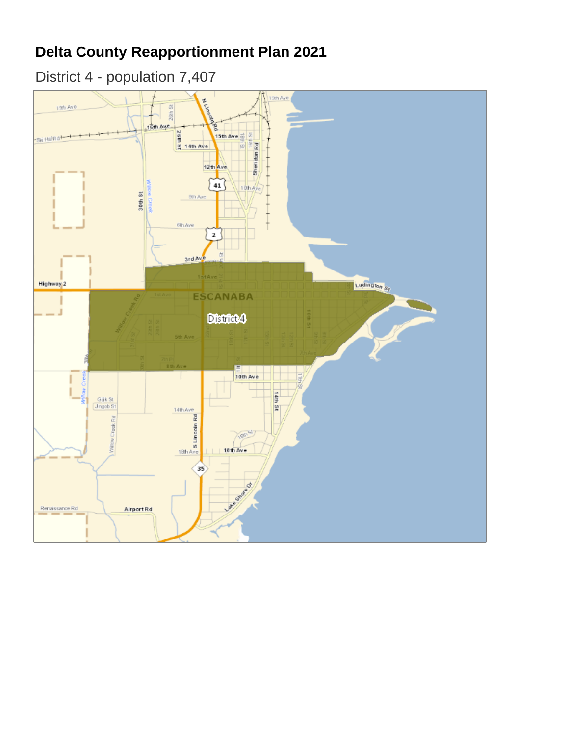District 4 - population 7,407